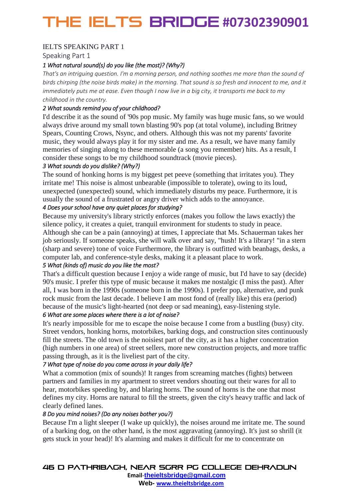## THE IELTS Bridge **#07302390901**

## IELTS SPEAKING PART 1

Speaking Part 1

## *1 What natural sound(s) do you like (the most)? (Why?)*

*That's an intriguing question. I'm a morning person, and nothing soothes me more than the sound of birds chirping (the noise birds make) in the morning. That sound is so fresh and innocent to me, and it immediately puts me at ease. Even though I now live in a big city, it transports me back to my childhood in the country.*

### *2 What sounds remind you of your childhood?*

I'd describe it as the sound of '90s pop music. My family was huge music fans, so we would always drive around my small town blasting 90's pop (at total volume), including Britney Spears, Counting Crows, Nsync, and others. Although this was not my parents' favorite music, they would always play it for my sister and me. As a result, we have many family memories of singing along to these memorable (a song you remember) hits. As a result, I consider these songs to be my childhood soundtrack (movie pieces).

### *3 What sounds do you dislike? (Why?)*

The sound of honking horns is my biggest pet peeve (something that irritates you). They irritate me! This noise is almost unbearable (impossible to tolerate), owing to its loud, unexpected (unexpected) sound, which immediately disturbs my peace. Furthermore, it is usually the sound of a frustrated or angry driver which adds to the annoyance.

### *4 Does your school have any quiet places for studying?*

Because my university's library strictly enforces (makes you follow the laws exactly) the silence policy, it creates a quiet, tranquil environment for students to study in peace. Although she can be a pain (annoying) at times, I appreciate that Ms. Schauerman takes her job seriously. If someone speaks, she will walk over and say, "hush! It's a library! "in a stern (sharp and severe) tone of voice Furthermore, the library is outfitted with beanbags, desks, a computer lab, and conference-style desks, making it a pleasant place to work.

#### *5 What (kinds of) music do you like the most?*

That's a difficult question because I enjoy a wide range of music, but I'd have to say (decide) 90's music. I prefer this type of music because it makes me nostalgic (I miss the past). After all, I was born in the 1990s (someone born in the 1990s). I prefer pop, alternative, and punk rock music from the last decade. I believe I am most fond of (really like) this era (period) because of the music's light-hearted (not deep or sad meaning), easy-listening style.

#### *6 What are some places where there is a lot of noise?*

It's nearly impossible for me to escape the noise because I come from a bustling (busy) city. Street vendors, honking horns, motorbikes, barking dogs, and construction sites continuously fill the streets. The old town is the noisiest part of the city, as it has a higher concentration (high numbers in one area) of street sellers, more new construction projects, and more traffic passing through, as it is the liveliest part of the city.

## *7 What type of noise do you come across in your daily life?*

What a commotion (mix of sounds)! It ranges from screaming matches (fights) between partners and families in my apartment to street vendors shouting out their wares for all to hear, motorbikes speeding by, and blaring horns. The sound of horns is the one that most defines my city. Horns are natural to fill the streets, given the city's heavy traffic and lack of clearly defined lanes.

#### *8 Do you mind noises? (Do any noises bother you?)*

Because I'm a light sleeper (I wake up quickly), the noises around me irritate me. The sound of a barking dog, on the other hand, is the most aggravating (annoying). It's just so shrill (it gets stuck in your head)! It's alarming and makes it difficult for me to concentrate on